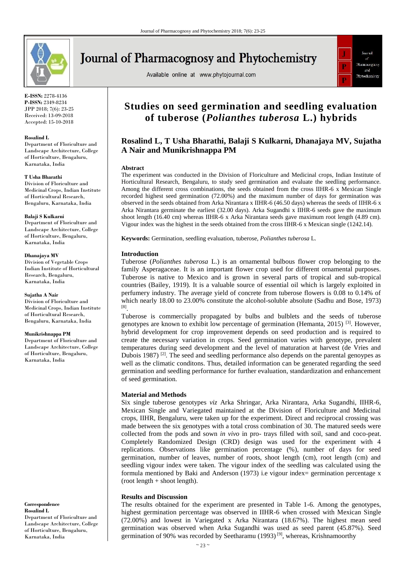

**Journal of Pharmacognosy and Phytochemistry** 

Available online at www.phytojournal.com



**E-ISSN:** 2278-4136 **P-ISSN:** 2349-8234 JPP 2018; 7(6): 23-25 Received: 13-09-2018 Accepted: 15-10-2018

### **Rosalind L**

Department of Floriculture and Landscape Architecture, College of Horticulture, Bengaluru, Karnataka, India

### **T Usha Bharathi**

Division of Floriculture and Medicinal Crops, Indian Institute of Horticultural Research, Bengaluru, Karnataka, India

### **Balaji S Kulkarni**

Department of Floriculture and Landscape Architecture, College of Horticulture, Bengaluru, Karnataka, India

### **Dhanajaya MV**

Division of Vegetable Crops Indian Institute of Horticultural Research, Bengaluru, Karnataka, India

#### **Sujatha A Nair**

Division of Floriculture and Medicinal Crops, Indian Institute of Horticultural Research, Bengaluru, Karnataka, India

### **Munikrishnappa PM**

Department of Floriculture and Landscape Architecture, College of Horticulture, Bengaluru, Karnataka, India

**Correspondence Rosalind L** Department of Floriculture and Landscape Architecture, College of Horticulture, Bengaluru, Karnataka, India

# **Studies on seed germination and seedling evaluation of tuberose (***Polianthes tuberosa* **L.) hybrids**

# **Rosalind L, T Usha Bharathi, Balaji S Kulkarni, Dhanajaya MV, Sujatha A Nair and Munikrishnappa PM**

### **Abstract**

The experiment was conducted in the Division of Floriculture and Medicinal crops, Indian Institute of Horticultural Research, Bengaluru, to study seed germination and evaluate the seedling performance. Among the different cross combinations, the seeds obtained from the cross IIHR-6 x Mexican Single recorded highest seed germination (72.00%) and the maximum number of days for germination was observed in the seeds obtained from Arka Nirantara x IIHR-6 (46.50 days) whereas the seeds of IIHR-6 x Arka Nirantara germinate the earliest (32.00 days). Arka Sugandhi x IIHR-6 seeds gave the maximum shoot length (16.40 cm) whereas IIHR-6 x Arka Nirantara seeds gave maximum root length (4.89 cm). Vigour index was the highest in the seeds obtained from the cross IIHR-6 x Mexican single (1242.14).

**Keywords:** Germination, seedling evaluation, tuberose, *Polianthes tuberosa* L.

### **Introduction**

Tuberose (*Polianthes tuberosa* L.) is an ornamental bulbous flower crop belonging to the family Asperagaceae. It is an important flower crop used for different ornamental purposes. Tuberose is native to Mexico and is grown in several parts of tropical and sub-tropical countries (Bailey, 1919). It is a valuable source of essential oil which is largely exploited in perfumery industry. The average yield of concrete from tuberose flowers is 0.08 to 0.14% of which nearly 18.00 to 23.00% constitute the alcohol-soluble absolute (Sadhu and Bose, 1973) [8] .

Tuberose is commercially propagated by bulbs and bulblets and the seeds of tuberose genotypes are known to exhibit low percentage of germination (Hemanta, 2015) [3]. However, hybrid development for crop improvement depends on seed production and is required to create the necessary variation in crops. Seed germination varies with genotype, prevalent temperatures during seed development and the level of maturation at harvest (de Vries and Dubois 1987) <sup>[2]</sup>. The seed and seedling performance also depends on the parental genoypes as well as the climatic conditons. Thus, detailed information can be generated regarding the seed germination and seedling performance for further evaluation, standardization and enhancement of seed germination.

### **Material and Methods**

Six single tuberose genotypes *viz* Arka Shringar, Arka Nirantara, Arka Sugandhi, IIHR-6, Mexican Single and Variegated maintained at the Division of Floriculture and Medicinal crops, IIHR, Bengaluru, were taken up for the experiment. Direct and reciprocal crossing was made between the six genotypes with a total cross combination of 30. The matured seeds were collected from the pods and sown *in vivo* in pro- trays filled with soil, sand and coco-peat. Completely Randomized Design (CRD) design was used for the experiment with 4 replications. Observations like germination percentage (%), number of days for seed germination, number of leaves, number of roots, shoot length (cm), root length (cm) and seedling vigour index were taken. The vigour index of the seedling was calculated using the formula mentioned by Baki and Anderson (1973) i.e vigour index= germination percentage x  $(root length + shoot length).$ 

## **Results and Discussion**

The results obtained for the experiment are presented in Table 1-6. Among the genotypes, highest germination percentage was observed in IIHR-6 when crossed with Mexican Single (72.00%) and lowest in Variegated x Arka Nirantara (18.67%). The highest mean seed germination was observed when Arka Sugandhi was used as seed parent (45.87%). Seed germination of 90% was recorded by Seetharamu (1993)<sup>[9]</sup>, whereas, Krishnamoorthy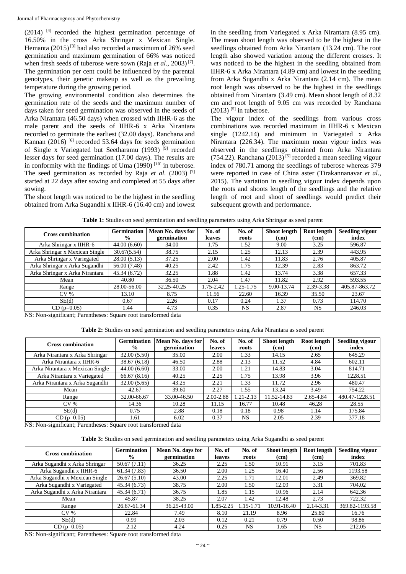$(2014)$  <sup>[4]</sup> recorded the highest germination percentage of 16.50% in the cross Arka Shringar x Mexican Single. Hemanta (2015)<sup>[3]</sup> had also recorded a maximum of 26% seed germination and maximum germination of 66% was noticed when fresh seeds of tuberose were sown (Raja *et al*., 2003) [7] . The germination per cent could be influenced by the parental genotypes, their genetic makeup as well as the prevailing temperature during the growing period.

The growing environmental condition also determines the germination rate of the seeds and the maximum number of days taken for seed germination was observed in the seeds of Arka Nirantara (46.50 days) when crossed with IIHR-6 as the male parent and the seeds of IIHR-6 x Arka Nirantara recorded to germinate the earliest (32.00 days). Ranchana and Kannan (2016)  $[6]$  recorded 53.64 days for seeds germination of Single x Variegated but Seetharamu (1993)<sup>[9]</sup> recorded lesser days for seed germination (17.00 days). The results are in conformity with the findings of Uma (1990)<sup>[10]</sup> in tuberose. The seed germination as recorded by Raja *et al*. (2003) [7] started at 22 days after sowing and completed at 55 days after sowing.

The shoot length was noticed to be the highest in the seedling obtained from Arka Sugandhi x IIHR-6 (16.40 cm) and lowest

in the seedling from Variegated x Arka Nirantara (8.95 cm). The mean shoot length was observed to be the highest in the seedlings obtained from Arka Nirantara (13.24 cm). The root length also showed variation among the different crosses. It was noticed to be the highest in the seedling obtained from IIHR-6 x Arka Nirantara (4.89 cm) and lowest in the seedling from Arka Sugandhi x Arka Nirantara (2.14 cm). The mean root length was observed to be the highest in the seedlings obtained from Nirantara (3.49 cm). Mean shoot length of 8.32 cm and root length of 9.05 cm was recorded by Ranchana  $(2013)$ <sup>[5]</sup> in tuberose.

The vigour index of the seedlings from various cross combinations was recorded maximum in IIHR-6 x Mexican single (1242.14) and minimum in Variegated x Arka Nirantara (226.34). The maximum mean vigour index was observed in the seedlings obtained from Arka Nirantara  $(754.22)$ . Ranchana  $(2013)$ <sup>[5]</sup> recorded a mean seedling vigour index of 780.71 among the seedlings of tuberose whereas 379 were reported in case of China aster (Tirakannanavar *et al*., 2015). The variation in seedling vigour index depends upon the roots and shoots length of the seedlings and the relative length of root and shoot of seedlings would predict their subsequent growth and performance.

| <b>Cross combination</b>       | <b>Germination</b> | Mean No. days for | No. of    | No. of    | Shoot length      | Root length | <b>Seedling vigour</b> |
|--------------------------------|--------------------|-------------------|-----------|-----------|-------------------|-------------|------------------------|
|                                | $\frac{6}{9}$      | germination       | leaves    | roots     | (c <sub>m</sub> ) | (cm)        | index                  |
| Arka Shringar x IIHR-6         | 44.00(6.60)        | 34.00             | 1.75      | 1.52      | 9.00              | 3.25        | 596.87                 |
| Arka Shringar x Mexican Single | 30.67(5.54)        | 38.75             | 2.15      | 1.25      | 12.13             | 2.39        | 443.95                 |
| Arka Shringar x Variegated     | 28.00(5.13)        | 37.25             | 2.00      | 1.42      | 11.83             | 2.76        | 405.87                 |
| Arka Shringar x Arka Sugandhi  | 56.00 (7.48)       | 40.25             | 2.42      | 1.75      | 12.39             | 2.83        | 863.72                 |
| Arka Shringar x Arka Nirantara | 45.34 (6.72)       | 32.25             | 1.88      | 1.42      | 13.74             | 3.38        | 657.33                 |
| Mean                           | 40.80              | 36.50             | 2.04      | 1.47      | 11.82             | 2.92        | 593.55                 |
| Range                          | 28.00-56.00        | 32.25-40.25       | 1.75-2.42 | 1.25-1.75 | 9.00-13.74        | 2.39-3.38   | 405.87-863.72          |
| CV <sub>%</sub>                | 13.10              | 8.75              | 11.56     | 22.60     | 16.39             | 35.50       | 23.67                  |
| SE(d)                          | 0.67               | 2.26              | 0.17      | 0.24      | 1.37              | 0.73        | 114.70                 |
| $CD$ (p=0.05)                  | 1.44               | 4.73              | 0.35      | NS        | 2.87              | NS          | 246.03                 |

**Table 1:** Studies on seed germination and seedling parameters using Arka Shringar as seed parent

NS: Non-significant; Parentheses: Square root transformed data

|  | Table 2: Studies on seed germination and seedling parameters using Arka Nirantara as seed parent |  |  |  |
|--|--------------------------------------------------------------------------------------------------|--|--|--|
|  |                                                                                                  |  |  |  |

| <b>Cross combination</b>        | <b>Germination</b> | Mean No. days for | No. of    | No. of    | Shoot length | Root length | <b>Seedling vigour</b> |
|---------------------------------|--------------------|-------------------|-----------|-----------|--------------|-------------|------------------------|
|                                 | $\frac{0}{0}$      | germination       | leaves    | roots     | (cm)         | (cm)        | index                  |
| Arka Nirantara x Arka Shringar  | 32.00(5.50)        | 35.00             | 2.00      | 1.33      | 14.15        | 2.65        | 645.29                 |
| Arka Nirantara x IIHR-6         | 38.67(6.18)        | 46.50             | 2.88      | 2.13      | 11.52        | 4.84        | 602.11                 |
| Arka Nirantara x Mexican Single | 44.00(6.60)        | 33.00             | 2.00      | 1.21      | 14.83        | 3.04        | 814.71                 |
| Arka Nirantara x Variegated     | 66.67(8.16)        | 40.25             | 2.25      | 1.75      | 13.98        | 3.96        | 1228.51                |
| Arka Nirantara x Arka Sugandhi  | 32.00(5.65)        | 43.25             | 2.21      | 1.33      | 11.72        | 2.96        | 480.47                 |
| Mean                            | 42.67              | 39.60             | 2.27      | 1.55      | 13.24        | 3.49        | 754.22                 |
| Range                           | 32.00-66.67        | 33.00-46.50       | 2.00-2.88 | 1.21-2.13 | 11.52-14.83  | 2.65-4.84   | 480.47-1228.51         |
| $CV\%$                          | 14.36              | 10.28             | 11.15     | 16.77     | 10.48        | 46.28       | 28.55                  |
| SE(d)                           | 0.75               | 2.88              | 0.18      | 0.18      | 0.98         | 1.14        | 175.84                 |
| $CD$ ( $p=0.05$ )               | 1.61               | 6.02              | 0.37      | NS        | 2.05         | 2.39        | 377.18                 |

NS: Non-significant; Parentheses: Square root transformed data

**Table 3:** Studies on seed germination and seedling parameters using Arka Sugandhi as seed parent

| <b>Cross combination</b>       | <b>Germination</b> | Mean No. days for | No. of        | No. of    | <b>Shoot length</b> | Root length | <b>Seedling vigour</b> |
|--------------------------------|--------------------|-------------------|---------------|-----------|---------------------|-------------|------------------------|
|                                | $\frac{6}{9}$      | germination       | <b>leaves</b> | roots     | (cm)                | (cm)        | index                  |
| Arka Sugandhi x Arka Shringar  | 50.67 (7.11)       | 36.25             | 2.25          | 1.50      | 10.91               | 3.15        | 701.83                 |
| Arka Sugandhi x IIHR-6         | 61.34(7.83)        | 36.50             | 2.00          | 1.25      | 16.40               | 2.56        | 1193.58                |
| Arka Sugandhi x Mexican Single | 26.67(5.10)        | 43.00             | 2.25          | 1.71      | 12.01               | 2.49        | 369.82                 |
| Arka Sugandhi x Variegated     | 45.34 (6.73)       | 38.75             | 2.00          | 1.50      | 12.09               | 3.31        | 704.02                 |
| Arka Sugandhi x Arka Nirantara | 45.34(6.71)        | 36.75             | 1.85          | 1.15      | 10.96               | 2.14        | 642.36                 |
| Mean                           | 45.87              | 38.25             | 2.07          | 1.42      | 12.48               | 2.73        | 722.32                 |
| Range                          | 26.67-61.34        | 36.25-43.00       | 1.85-2.25     | 1.15-1.71 | 10.91-16.40         | 2.14-3.31   | 369.82-1193.58         |
| CV <sub>%</sub>                | 22.84              | 7.49              | 8.10          | 21.19     | 8.96                | 25.80       | 16.76                  |
| SE(d)                          | 0.99               | 2.03              | 0.12          | 0.21      | 0.79                | 0.50        | 98.86                  |
| $CD$ (p=0.05)                  | 2.12               | 4.24              | 0.25          | <b>NS</b> | 1.65                | <b>NS</b>   | 212.05                 |

NS: Non-significant; Parentheses: Square root transformed data